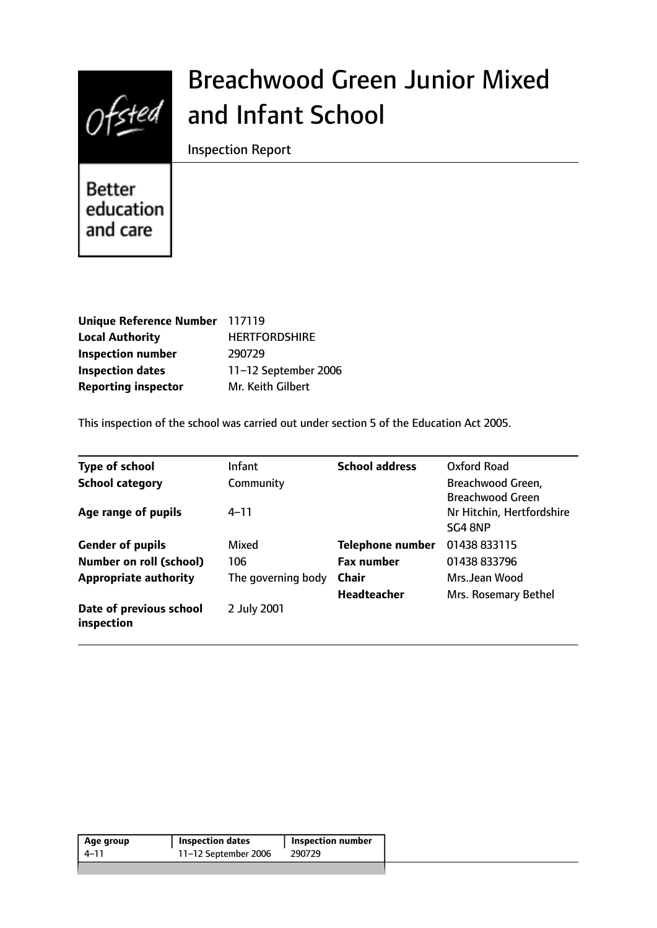

# Breachwood Green Junior Mixed and Infant School

Inspection Report

Better education and care

| Unique Reference Number 117119 |                      |
|--------------------------------|----------------------|
| <b>Local Authority</b>         | <b>HERTFORDSHIRE</b> |
| <b>Inspection number</b>       | 290729               |
| <b>Inspection dates</b>        | 11-12 September 2006 |
| <b>Reporting inspector</b>     | Mr. Keith Gilbert    |

This inspection of the school was carried out under section 5 of the Education Act 2005.

| <b>Type of school</b>                 | <b>Infant</b>      | <b>School address</b>   | <b>Oxford Road</b>        |
|---------------------------------------|--------------------|-------------------------|---------------------------|
| <b>School category</b>                | Community          |                         | Breachwood Green,         |
|                                       |                    |                         | <b>Breachwood Green</b>   |
| Age range of pupils                   | $4 - 11$           |                         | Nr Hitchin, Hertfordshire |
|                                       |                    |                         | SG4 8NP                   |
| <b>Gender of pupils</b>               | Mixed              | <b>Telephone number</b> | 01438 833115              |
| <b>Number on roll (school)</b>        | 106                | <b>Fax number</b>       | 01438 833796              |
| <b>Appropriate authority</b>          | The governing body | <b>Chair</b>            | Mrs.Jean Wood             |
|                                       |                    | <b>Headteacher</b>      | Mrs. Rosemary Bethel      |
| Date of previous school<br>inspection | 2 July 2001        |                         |                           |

| Age group | <b>Inspection dates</b> | Inspection number |
|-----------|-------------------------|-------------------|
| 4–11      | 11-12 September 2006    | 290729            |
|           |                         |                   |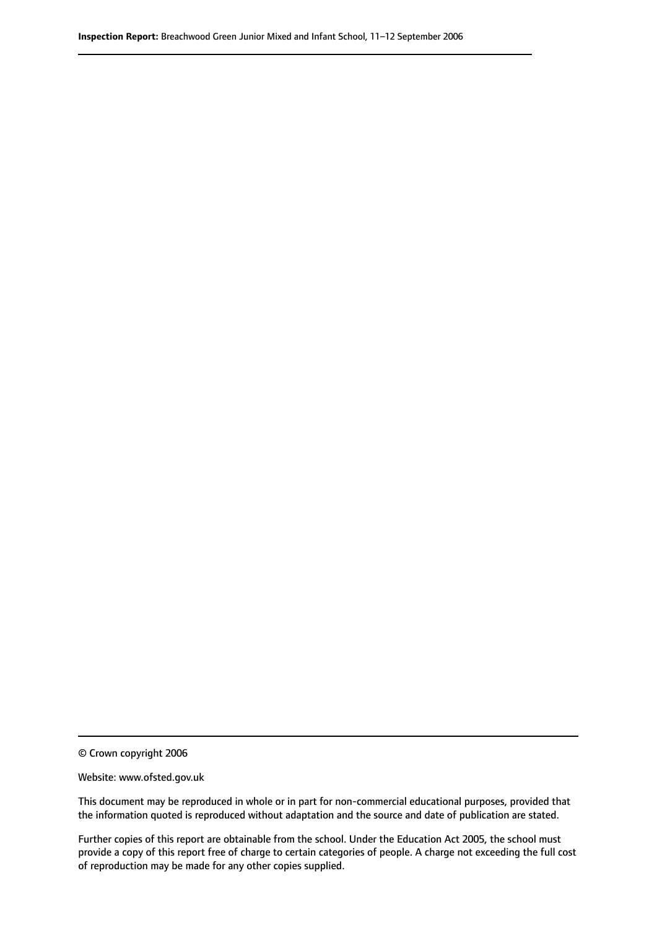© Crown copyright 2006

Website: www.ofsted.gov.uk

This document may be reproduced in whole or in part for non-commercial educational purposes, provided that the information quoted is reproduced without adaptation and the source and date of publication are stated.

Further copies of this report are obtainable from the school. Under the Education Act 2005, the school must provide a copy of this report free of charge to certain categories of people. A charge not exceeding the full cost of reproduction may be made for any other copies supplied.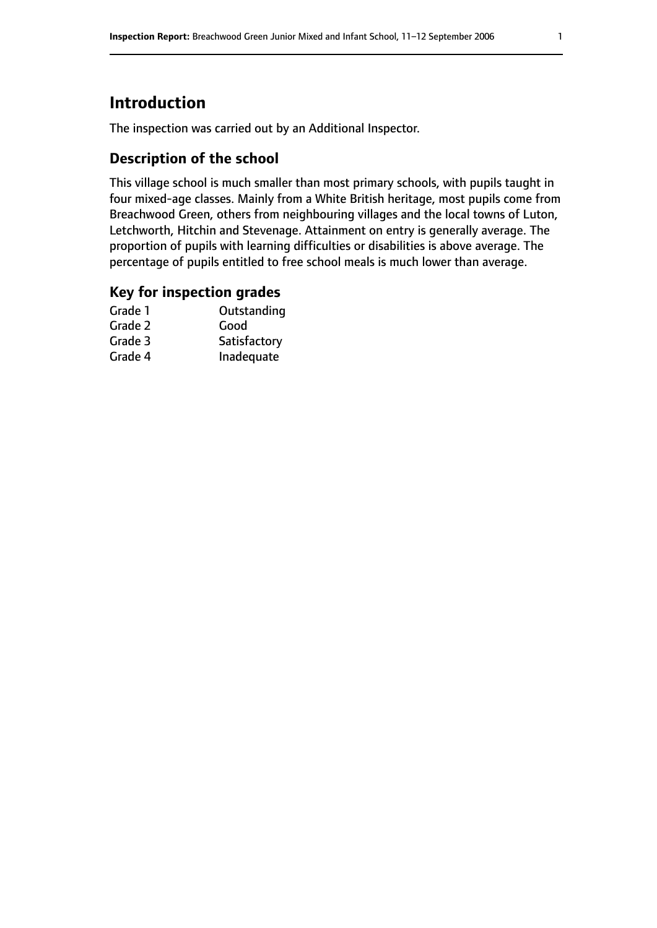# **Introduction**

The inspection was carried out by an Additional Inspector.

## **Description of the school**

This village school is much smaller than most primary schools, with pupils taught in four mixed-age classes. Mainly from a White British heritage, most pupils come from Breachwood Green, others from neighbouring villages and the local towns of Luton, Letchworth, Hitchin and Stevenage. Attainment on entry is generally average. The proportion of pupils with learning difficulties or disabilities is above average. The percentage of pupils entitled to free school meals is much lower than average.

## **Key for inspection grades**

| Grade 1 | Outstanding  |
|---------|--------------|
| Grade 2 | Good         |
| Grade 3 | Satisfactory |
| Grade 4 | Inadequate   |
|         |              |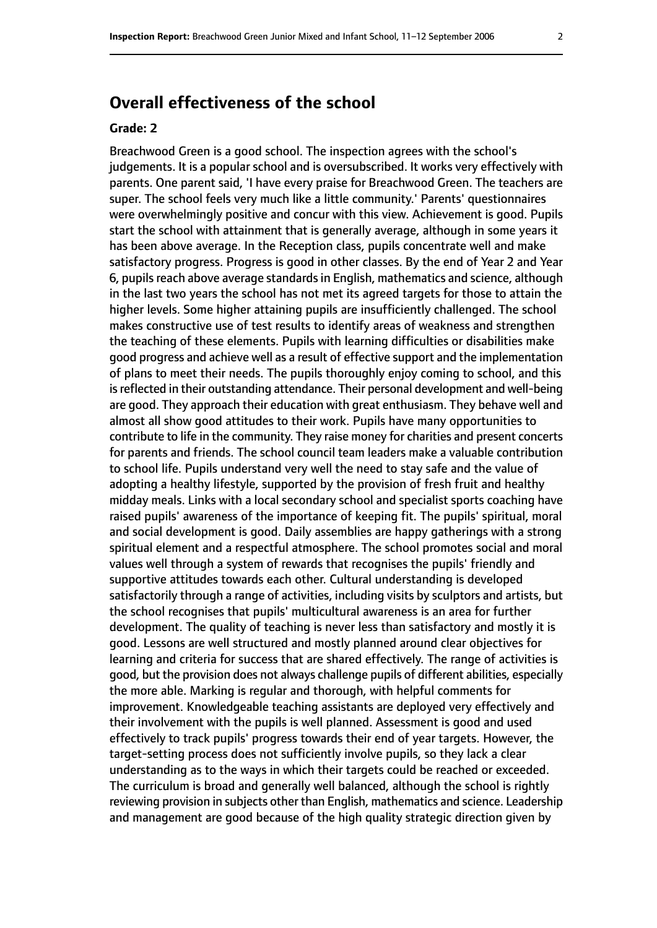# **Overall effectiveness of the school**

#### **Grade: 2**

Breachwood Green is a good school. The inspection agrees with the school's judgements. It is a popular school and is oversubscribed. It works very effectively with parents. One parent said, 'I have every praise for Breachwood Green. The teachers are super. The school feels very much like a little community.' Parents' questionnaires were overwhelmingly positive and concur with this view. Achievement is good. Pupils start the school with attainment that is generally average, although in some years it has been above average. In the Reception class, pupils concentrate well and make satisfactory progress. Progress is good in other classes. By the end of Year 2 and Year 6, pupils reach above average standards in English, mathematics and science, although in the last two years the school has not met its agreed targets for those to attain the higher levels. Some higher attaining pupils are insufficiently challenged. The school makes constructive use of test results to identify areas of weakness and strengthen the teaching of these elements. Pupils with learning difficulties or disabilities make good progress and achieve well as a result of effective support and the implementation of plans to meet their needs. The pupils thoroughly enjoy coming to school, and this is reflected in their outstanding attendance. Their personal development and well-being are good. They approach their education with great enthusiasm. They behave well and almost all show good attitudes to their work. Pupils have many opportunities to contribute to life in the community. They raise money for charities and present concerts for parents and friends. The school council team leaders make a valuable contribution to school life. Pupils understand very well the need to stay safe and the value of adopting a healthy lifestyle, supported by the provision of fresh fruit and healthy midday meals. Links with a local secondary school and specialist sports coaching have raised pupils' awareness of the importance of keeping fit. The pupils' spiritual, moral and social development is good. Daily assemblies are happy gatherings with a strong spiritual element and a respectful atmosphere. The school promotes social and moral values well through a system of rewards that recognises the pupils' friendly and supportive attitudes towards each other. Cultural understanding is developed satisfactorily through a range of activities, including visits by sculptors and artists, but the school recognises that pupils' multicultural awareness is an area for further development. The quality of teaching is never less than satisfactory and mostly it is good. Lessons are well structured and mostly planned around clear objectives for learning and criteria for success that are shared effectively. The range of activities is good, but the provision does not always challenge pupils of different abilities, especially the more able. Marking is regular and thorough, with helpful comments for improvement. Knowledgeable teaching assistants are deployed very effectively and their involvement with the pupils is well planned. Assessment is good and used effectively to track pupils' progress towards their end of year targets. However, the target-setting process does not sufficiently involve pupils, so they lack a clear understanding as to the ways in which their targets could be reached or exceeded. The curriculum is broad and generally well balanced, although the school is rightly reviewing provision in subjects other than English, mathematics and science. Leadership and management are good because of the high quality strategic direction given by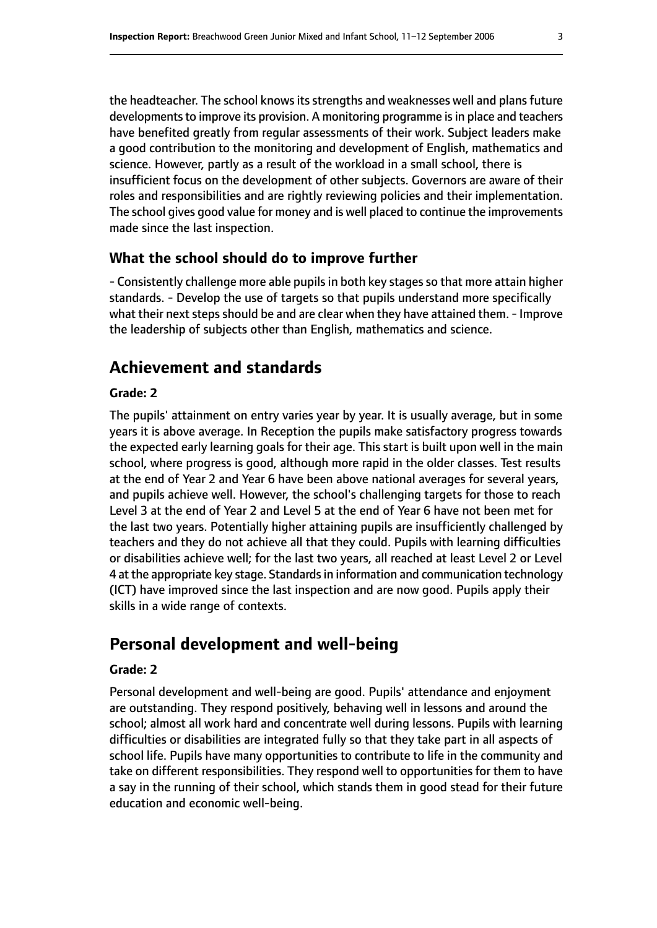the headteacher. The school knows its strengths and weaknesses well and plans future developments to improve its provision. A monitoring programme is in place and teachers have benefited greatly from regular assessments of their work. Subject leaders make a good contribution to the monitoring and development of English, mathematics and science. However, partly as a result of the workload in a small school, there is insufficient focus on the development of other subjects. Governors are aware of their roles and responsibilities and are rightly reviewing policies and their implementation. The school gives good value for money and is well placed to continue the improvements made since the last inspection.

## **What the school should do to improve further**

- Consistently challenge more able pupils in both key stages so that more attain higher standards. - Develop the use of targets so that pupils understand more specifically what their next steps should be and are clear when they have attained them. - Improve the leadership of subjects other than English, mathematics and science.

# **Achievement and standards**

## **Grade: 2**

The pupils' attainment on entry varies year by year. It is usually average, but in some years it is above average. In Reception the pupils make satisfactory progress towards the expected early learning goals for their age. This start is built upon well in the main school, where progress is good, although more rapid in the older classes. Test results at the end of Year 2 and Year 6 have been above national averages for several years, and pupils achieve well. However, the school's challenging targets for those to reach Level 3 at the end of Year 2 and Level 5 at the end of Year 6 have not been met for the last two years. Potentially higher attaining pupils are insufficiently challenged by teachers and they do not achieve all that they could. Pupils with learning difficulties or disabilities achieve well; for the last two years, all reached at least Level 2 or Level 4 at the appropriate key stage. Standardsin information and communication technology (ICT) have improved since the last inspection and are now good. Pupils apply their skills in a wide range of contexts.

# **Personal development and well-being**

## **Grade: 2**

Personal development and well-being are good. Pupils' attendance and enjoyment are outstanding. They respond positively, behaving well in lessons and around the school; almost all work hard and concentrate well during lessons. Pupils with learning difficulties or disabilities are integrated fully so that they take part in all aspects of school life. Pupils have many opportunities to contribute to life in the community and take on different responsibilities. They respond well to opportunities for them to have a say in the running of their school, which stands them in good stead for their future education and economic well-being.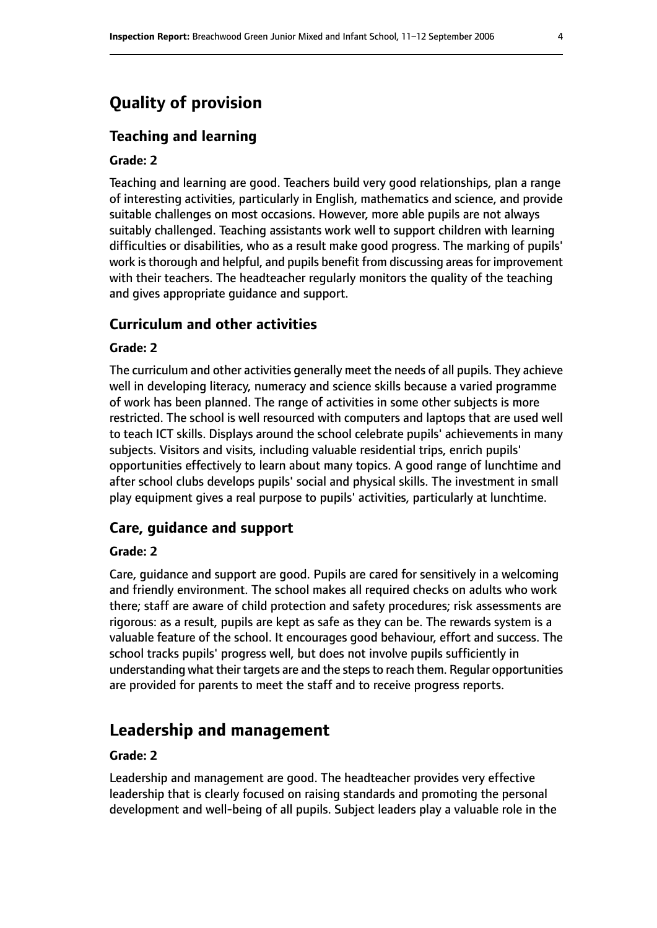# **Quality of provision**

## **Teaching and learning**

#### **Grade: 2**

Teaching and learning are good. Teachers build very good relationships, plan a range of interesting activities, particularly in English, mathematics and science, and provide suitable challenges on most occasions. However, more able pupils are not always suitably challenged. Teaching assistants work well to support children with learning difficulties or disabilities, who as a result make good progress. The marking of pupils' work is thorough and helpful, and pupils benefit from discussing areas for improvement with their teachers. The headteacher regularly monitors the quality of the teaching and gives appropriate guidance and support.

#### **Curriculum and other activities**

#### **Grade: 2**

The curriculum and other activities generally meet the needs of all pupils. They achieve well in developing literacy, numeracy and science skills because a varied programme of work has been planned. The range of activities in some other subjects is more restricted. The school is well resourced with computers and laptops that are used well to teach ICT skills. Displays around the school celebrate pupils' achievements in many subjects. Visitors and visits, including valuable residential trips, enrich pupils' opportunities effectively to learn about many topics. A good range of lunchtime and after school clubs develops pupils' social and physical skills. The investment in small play equipment gives a real purpose to pupils' activities, particularly at lunchtime.

#### **Care, guidance and support**

#### **Grade: 2**

Care, guidance and support are good. Pupils are cared for sensitively in a welcoming and friendly environment. The school makes all required checks on adults who work there; staff are aware of child protection and safety procedures; risk assessments are rigorous: as a result, pupils are kept as safe as they can be. The rewards system is a valuable feature of the school. It encourages good behaviour, effort and success. The school tracks pupils' progress well, but does not involve pupils sufficiently in understanding what their targets are and the steps to reach them. Regular opportunities are provided for parents to meet the staff and to receive progress reports.

# **Leadership and management**

#### **Grade: 2**

Leadership and management are good. The headteacher provides very effective leadership that is clearly focused on raising standards and promoting the personal development and well-being of all pupils. Subject leaders play a valuable role in the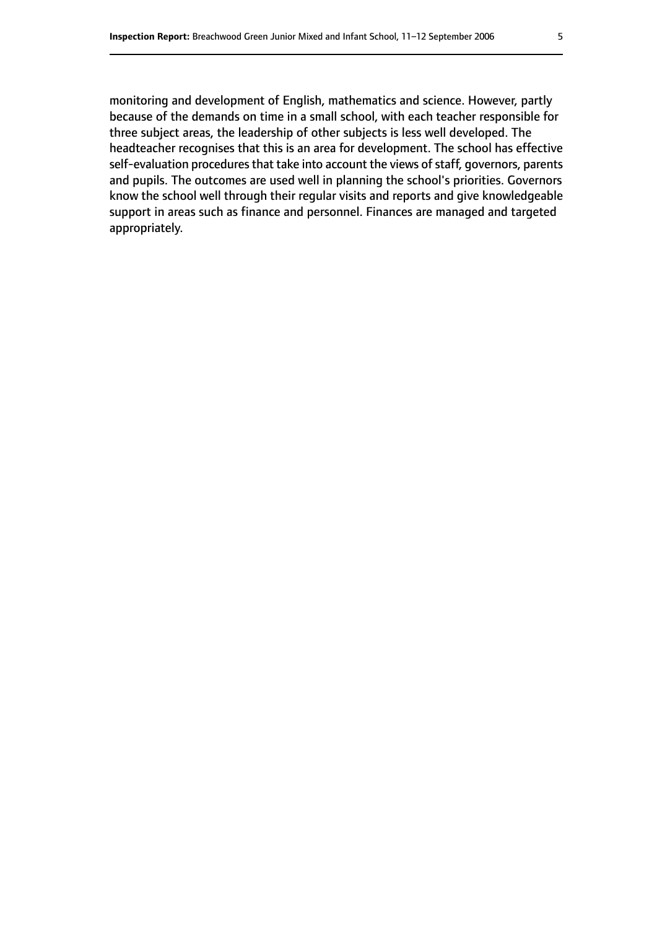monitoring and development of English, mathematics and science. However, partly because of the demands on time in a small school, with each teacher responsible for three subject areas, the leadership of other subjects is less well developed. The headteacher recognises that this is an area for development. The school has effective self-evaluation procedures that take into account the views of staff, governors, parents and pupils. The outcomes are used well in planning the school's priorities. Governors know the school well through their regular visits and reports and give knowledgeable support in areas such as finance and personnel. Finances are managed and targeted appropriately.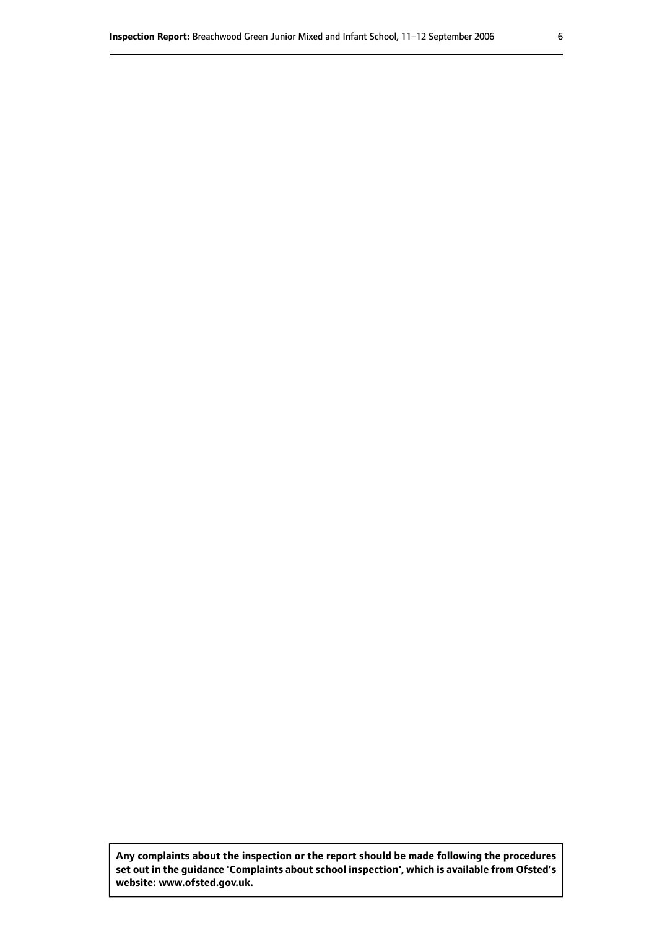**Any complaints about the inspection or the report should be made following the procedures set out inthe guidance 'Complaints about school inspection', whichis available from Ofsted's website: www.ofsted.gov.uk.**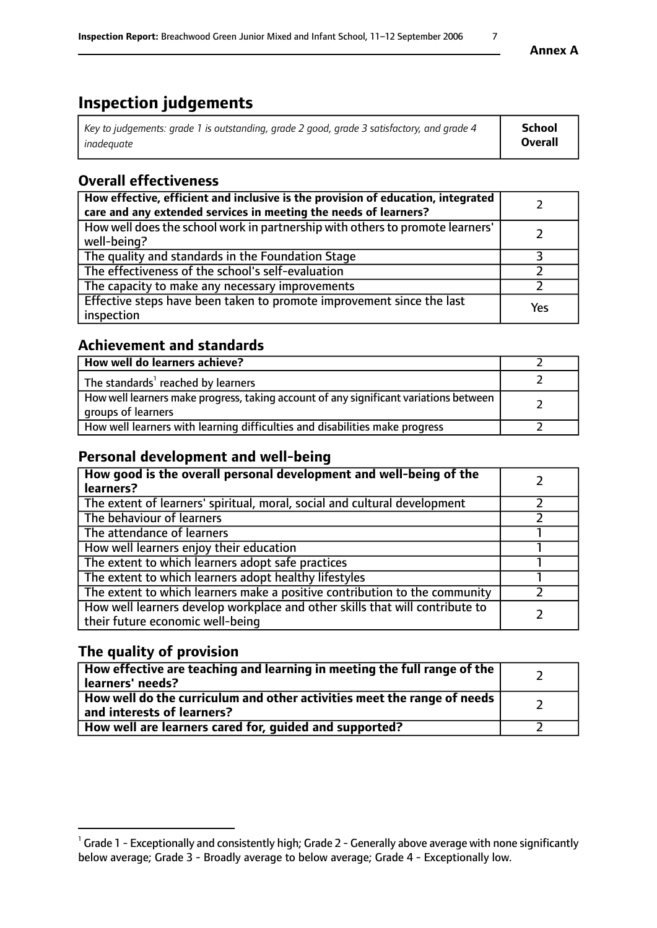# **Inspection judgements**

| Key to judgements: grade 1 is outstanding, grade 2 good, grade 3 satisfactory, and grade 4 | School  |
|--------------------------------------------------------------------------------------------|---------|
| inadeauate                                                                                 | Overall |

# **Overall effectiveness**

| How effective, efficient and inclusive is the provision of education, integrated<br>care and any extended services in meeting the needs of learners? |     |
|------------------------------------------------------------------------------------------------------------------------------------------------------|-----|
| How well does the school work in partnership with others to promote learners'<br>well-being?                                                         |     |
| The quality and standards in the Foundation Stage                                                                                                    |     |
| The effectiveness of the school's self-evaluation                                                                                                    |     |
| The capacity to make any necessary improvements                                                                                                      |     |
| Effective steps have been taken to promote improvement since the last<br>inspection                                                                  | Yes |

# **Achievement and standards**

| How well do learners achieve?                                                                               |  |
|-------------------------------------------------------------------------------------------------------------|--|
| The standards <sup>1</sup> reached by learners                                                              |  |
| How well learners make progress, taking account of any significant variations between<br>groups of learners |  |
| How well learners with learning difficulties and disabilities make progress                                 |  |

# **Personal development and well-being**

| How good is the overall personal development and well-being of the<br>learners?                                  |  |
|------------------------------------------------------------------------------------------------------------------|--|
| The extent of learners' spiritual, moral, social and cultural development                                        |  |
| The behaviour of learners                                                                                        |  |
| The attendance of learners                                                                                       |  |
| How well learners enjoy their education                                                                          |  |
| The extent to which learners adopt safe practices                                                                |  |
| The extent to which learners adopt healthy lifestyles                                                            |  |
| The extent to which learners make a positive contribution to the community                                       |  |
| How well learners develop workplace and other skills that will contribute to<br>their future economic well-being |  |

# **The quality of provision**

| How effective are teaching and learning in meeting the full range of the<br>learners' needs?          |  |
|-------------------------------------------------------------------------------------------------------|--|
| How well do the curriculum and other activities meet the range of needs<br>and interests of learners? |  |
| How well are learners cared for, guided and supported?                                                |  |

 $^1$  Grade 1 - Exceptionally and consistently high; Grade 2 - Generally above average with none significantly below average; Grade 3 - Broadly average to below average; Grade 4 - Exceptionally low.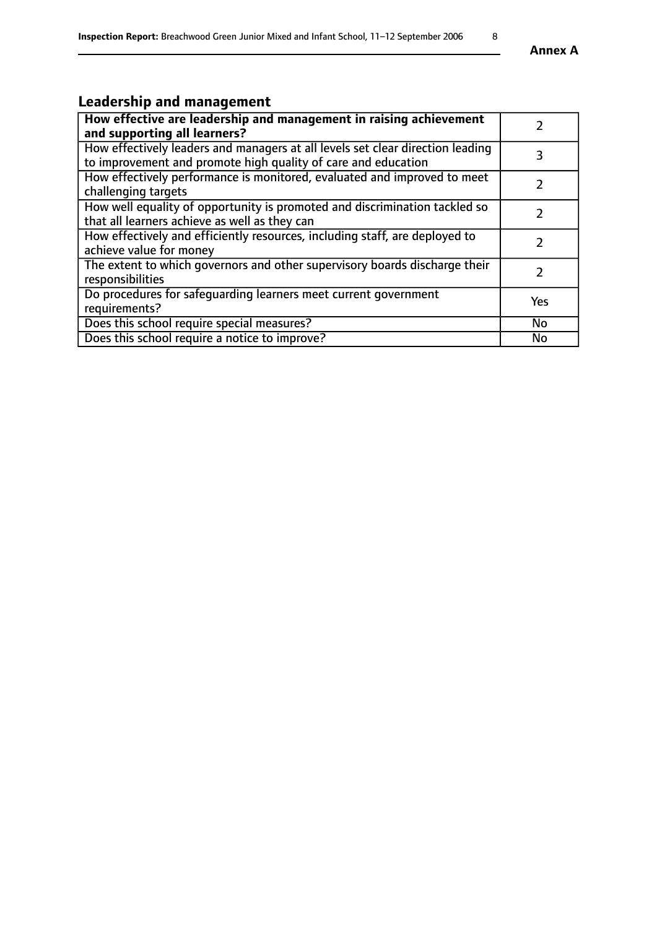# **Leadership and management**

| How effective are leadership and management in raising achievement                                                                              |               |
|-------------------------------------------------------------------------------------------------------------------------------------------------|---------------|
| and supporting all learners?                                                                                                                    |               |
| How effectively leaders and managers at all levels set clear direction leading<br>to improvement and promote high quality of care and education |               |
| How effectively performance is monitored, evaluated and improved to meet<br>challenging targets                                                 |               |
| How well equality of opportunity is promoted and discrimination tackled so<br>that all learners achieve as well as they can                     |               |
| How effectively and efficiently resources, including staff, are deployed to<br>achieve value for money                                          | $\mathcal{L}$ |
| The extent to which governors and other supervisory boards discharge their<br>responsibilities                                                  |               |
| Do procedures for safequarding learners meet current government<br>requirements?                                                                | Yes           |
| Does this school require special measures?                                                                                                      | No            |
| Does this school require a notice to improve?                                                                                                   | <b>No</b>     |